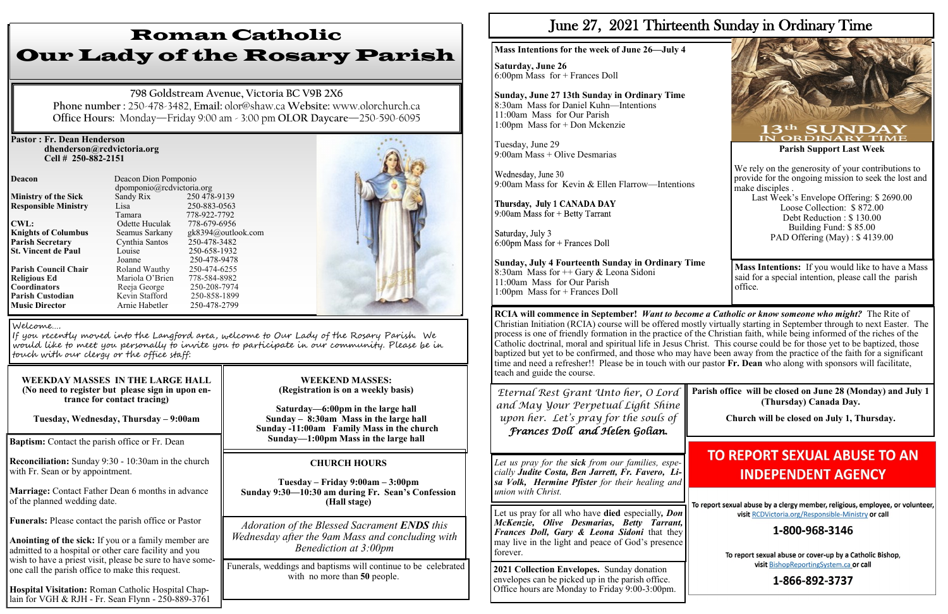## **Pastor : Fr. Dean Henderson dhenderson@rcdvictoria.org Cell # 250-882-2151**

**Responsible Ministry** Lisa **Knights of Columbus** Seamus Sarkany **St. Vincent de Paul Parish Custodian** 

**Deacon Deacon Dion Pomponio** dpomponio@rcdvictoria.org<br>Sandy Rix 250 478-9139 **Ministry of the Sick** Sandy Rix 250 478-9139<br> **Responsible Ministry** Lisa 250-883-0563 Tamara 778-922-7792<br>Odette Huculak 778-679-6956 **CWL:** CWL: CODE CODE CODE CONTEX-0956<br> **CODE COLUMBUS** Seamus Sarkany ek8394@outlook.com **Parish Secretary** Cynthia Santos 250-478-3482<br> **St. Vincent de Paul** Louise 250-658-1932 Joanne 250-478-9478<br>Roland Wauthy 250-474-6255 **Parish Council Chair Roland Wauthy 250-474-6255**<br> **Religious Ed Mariola O'Brien** 778-584-8982 **Religious Ed Mariola O'Brien 778-584-8982<br>
<b>Coordinators** Reeia George 250-208-7974 **Reeja George** 250-208-7974<br>**Kevin Stafford** 250-858-1899 **Music Director Arnie Habetler** 250-478-2799



**Baptism:** Contact the parish office or Fr. Dean

**Reconciliation:** Sunday 9:30 - 10:30am in the church with Fr. Sean or by appointment.

**Marriage:** Contact Father Dean 6 months in advance of the planned wedding date.

**Funerals:** Please contact the parish office or Pastor

**Anointing of the sick:** If you or a family member are admitted to a hospital or other care facility and you wish to have a priest visit, please be sure to have someone call the parish office to make this request.

**Hospital Visitation:** Roman Catholic Hospital Chaplain for VGH & RJH - Fr. Sean Flynn - 250-889-3761

# Roman Catholic Our Lady of the Rosary Parish

**798 Goldstream Avenue, Victoria BC V9B 2X6 Phone number :** 250-478-3482, **Email:** olor@shaw.ca **Website:** www.olorchurch.ca **Office Hours:** Monday—Friday 9:00 am - 3:00 pm **OLOR Daycare**—250-590-6095

> Wednesday, June 30 9:00am Mass for Kevin & Ellen Flarrow—Intentions

Thursday, July 1 CANADA DAY 9:00am Mass for  $+$  Betty Tarrant

Saturday, July 3  $6:00$ pm Mass for + Frances Doll

## **WEEKDAY MASSES IN THE LARGE HALL (No need to register but please sign in upon entrance for contact tracing)**

**Tuesday, Wednesday, Thursday – 9:00am**

#### **WEEKEND MASSES: (Registration is on a weekly basis)**

**Saturday—6:00pm in the large hall Sunday – 8:30am Mass in the large hall Sunday -11:00am Family Mass in the church Sunday—1:00pm Mass in the large hall**

Funerals, weddings and baptisms will continue to be celebrated with no more than **50** people.

## Welcome….

If you recently moved into the Langford area, welcome to Our Lady of the Rosary Parish. We would like to meet you personally to invite you to participate in our community. Please be in touch with our clergy or the office staff:

## **CHURCH HOURS**

**Tuesday – Friday 9:00am – 3:00pm Sunday 9:30—10:30 am during Fr. Sean's Confession (Hall stage)**

*Adoration of the Blessed Sacrament ENDS this Wednesday after the 9am Mass and concluding with Benediction at 3:00pm*

# June 27, 2021 Thirteenth Sunday in Ordinary Time

**Mass Intentions for the week of June 26—July 4**

**Saturday, June 26** 6:00pm Mass for + Frances Doll

# **Sunday, June 27 13th Sunday in Ordinary Time**

8:30am Mass for Daniel Kuhn—Intentions 11:00am Mass for Our Parish 1:00pm Mass for + Don Mckenzie

Tuesday, June 29 9:00am Mass + Olive Desmarias

**Sunday, July 4 Fourteenth Sunday in Ordinary Time** 8:30am Mass for ++ Gary & Leona Sidoni 11:00am Mass for Our Parish 1:00pm Mass for + Frances Doll



**RCIA will commence in September!** *Want to become a Catholic or know someone who might?* The Rite of Christian Initiation (RCIA) course will be offered mostly virtually starting in September through to next Easter. The process is one of friendly formation in the practice of the Christian faith, while being informed of the riches of the Catholic doctrinal, moral and spiritual life in Jesus Christ. This course could be for those yet to be baptized, those baptized but yet to be confirmed, and those who may have been away from the practice of the faith for a significant time and need a refresher!! Please be in touch with our pastor **Fr. Dean** who along with sponsors will facilitate, teach and guide the course.

*Eternal Rest Grant Unto her, O Lord and May Your Perpetual Light Shine upon her. Let's pray for the souls of Frances Doll and Helen Golian.*

**Parish office will be closed on June 28 (Monday) and July 1 (Thursday) Canada Day.** 

**Church will be closed on July 1, Thursday.** 

# **TO REPORT SEXUAL ABUSE TO AN INDEPENDENT AGENCY**

To report sexual abuse by a clergy member, religious, employee, or volunteer, visit RCDVictoria.org/Responsible-Ministry or call

## 1-800-968-3146

To report sexual abuse or cover-up by a Catholic Bishop, visit BishopReportingSystem.ca or call

## 1-866-892-3737

*Let us pray for the sick from our families, especially Judite Costa, Ben Jarrett, Fr. Favero, Lisa Volk, Hermine Pfister for their healing and union with Christ.*

Let us pray for all who have **died** especially*, Don McKenzie, Olive Desmarias, Betty Tarrant, Frances Doll, Gary & Leona Sidoni* that they may live in the light and peace of God's presence forever.

**2021 Collection Envelopes.** Sunday donation envelopes can be picked up in the parish office. Office hours are Monday to Friday 9:00-3:00pm.